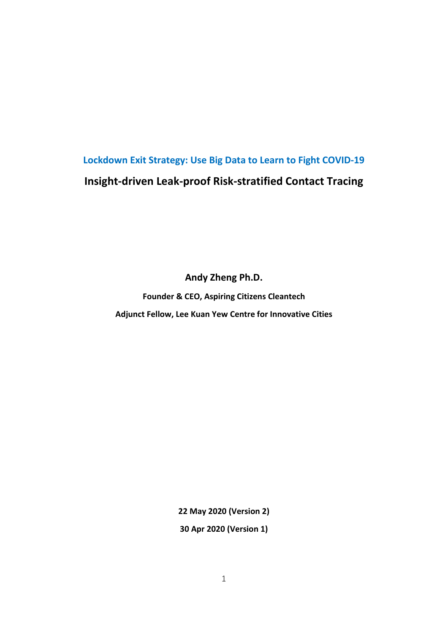# **Lockdown Exit Strategy: Use Big Data to Learn to Fight COVID-19 Insight-driven Leak-proof Risk-stratified Contact Tracing**

**Andy Zheng Ph.D.**

**Founder & CEO, Aspiring Citizens Cleantech Adjunct Fellow, Lee Kuan Yew Centre for Innovative Cities**

> **22 May 2020 (Version 2) 30 Apr 2020 (Version 1)**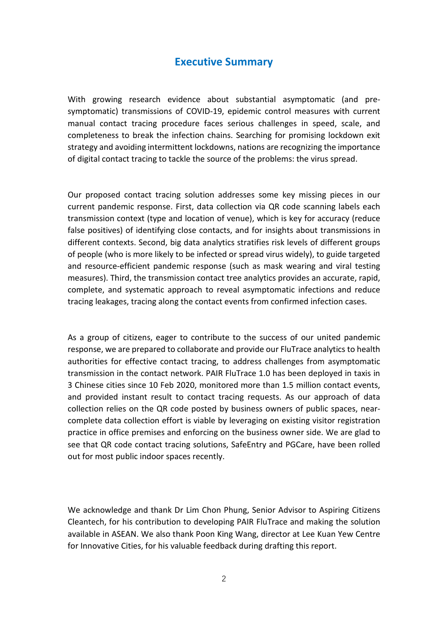### **Executive Summary**

With growing research evidence about substantial asymptomatic (and presymptomatic) transmissions of COVID-19, epidemic control measures with current manual contact tracing procedure faces serious challenges in speed, scale, and completeness to break the infection chains. Searching for promising lockdown exit strategy and avoiding intermittent lockdowns, nations are recognizing the importance of digital contact tracing to tackle the source of the problems: the virus spread.

Our proposed contact tracing solution addresses some key missing pieces in our current pandemic response. First, data collection via QR code scanning labels each transmission context (type and location of venue), which is key for accuracy (reduce false positives) of identifying close contacts, and for insights about transmissions in different contexts. Second, big data analytics stratifies risk levels of different groups of people (who is more likely to be infected or spread virus widely), to guide targeted and resource-efficient pandemic response (such as mask wearing and viral testing measures). Third, the transmission contact tree analytics provides an accurate, rapid, complete, and systematic approach to reveal asymptomatic infections and reduce tracing leakages, tracing along the contact events from confirmed infection cases.

As a group of citizens, eager to contribute to the success of our united pandemic response, we are prepared to collaborate and provide our FluTrace analytics to health authorities for effective contact tracing, to address challenges from asymptomatic transmission in the contact network. PAIR FluTrace 1.0 has been deployed in taxis in 3 Chinese cities since 10 Feb 2020, monitored more than 1.5 million contact events, and provided instant result to contact tracing requests. As our approach of data collection relies on the QR code posted by business owners of public spaces, nearcomplete data collection effort is viable by leveraging on existing visitor registration practice in office premises and enforcing on the business owner side. We are glad to see that QR code contact tracing solutions, SafeEntry and PGCare, have been rolled out for most public indoor spaces recently.

We acknowledge and thank Dr Lim Chon Phung, Senior Advisor to Aspiring Citizens Cleantech, for his contribution to developing PAIR FluTrace and making the solution available in ASEAN. We also thank Poon King Wang, director at Lee Kuan Yew Centre for Innovative Cities, for his valuable feedback during drafting this report.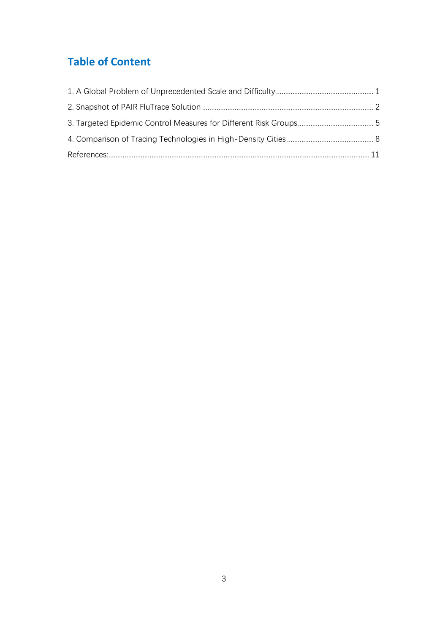# **Table of Content**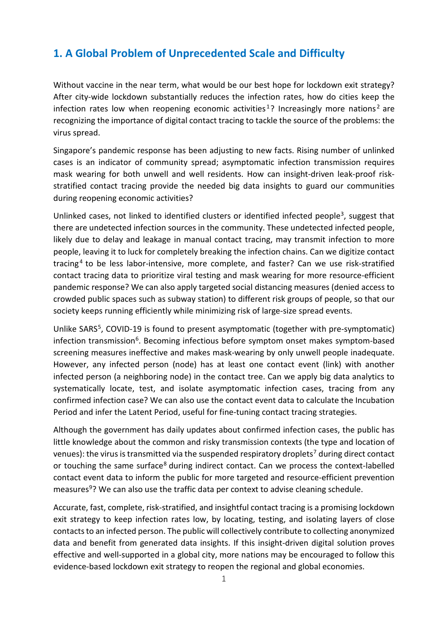## <span id="page-3-0"></span>**1. A Global Problem of Unprecedented Scale and Difficulty**

Without vaccine in the near term, what would be our best hope for lockdown exit strategy? After city-wide lockdown substantially reduces the infection rates, how do cities keep the infection rates low when reopening economic activities<sup>[1](#page-14-0)</sup>? Increasingly more nations<sup>[2](#page-14-1)</sup> are recognizing the importance of digital contact tracing to tackle the source of the problems: the virus spread.

Singapore's pandemic response has been adjusting to new facts. Rising number of unlinked cases is an indicator of community spread; asymptomatic infection transmission requires mask wearing for both unwell and well residents. How can insight-driven leak-proof riskstratified contact tracing provide the needed big data insights to guard our communities during reopening economic activities?

Unlinked cases, not linked to identified clusters or identified infected people<sup>[3](#page-14-2)</sup>, suggest that there are undetected infection sources in the community. These undetected infected people, likely due to delay and leakage in manual contact tracing, may transmit infection to more people, leaving it to luck for completely breaking the infection chains. Can we digitize contact tracing<sup>[4](#page-14-3)</sup> to be less labor-intensive, more complete, and faster? Can we use risk-stratified contact tracing data to prioritize viral testing and mask wearing for more resource-efficient pandemic response? We can also apply targeted social distancing measures (denied access to crowded public spaces such as subway station) to different risk groups of people, so that our society keeps running efficiently while minimizing risk of large-size spread events.

Unlike SARS<sup>[5](#page-14-4)</sup>, COVID-19 is found to present asymptomatic (together with pre-symptomatic) infection transmission<sup>[6](#page-14-5)</sup>. Becoming infectious before symptom onset makes symptom-based screening measures ineffective and makes mask-wearing by only unwell people inadequate. However, any infected person (node) has at least one contact event (link) with another infected person (a neighboring node) in the contact tree. Can we apply big data analytics to systematically locate, test, and isolate asymptomatic infection cases, tracing from any confirmed infection case? We can also use the contact event data to calculate the Incubation Period and infer the Latent Period, useful for fine-tuning contact tracing strategies.

Although the government has daily updates about confirmed infection cases, the public has little knowledge about the common and risky transmission contexts (the type and location of venues): the virus is transmitted via the suspended respiratory droplets<sup>[7](#page-14-6)</sup> during direct contact or touching the same surface<sup>[8](#page-14-7)</sup> during indirect contact. Can we process the context-labelled contact event data to inform the public for more targeted and resource-efficient prevention measures<sup>9</sup>? We can also use the traffic data per context to advise cleaning schedule.

Accurate, fast, complete, risk-stratified, and insightful contact tracing is a promising lockdown exit strategy to keep infection rates low, by locating, testing, and isolating layers of close contacts to an infected person. The public will collectively contribute to collecting anonymized data and benefit from generated data insights. If this insight-driven digital solution proves effective and well-supported in a global city, more nations may be encouraged to follow this evidence-based lockdown exit strategy to reopen the regional and global economies.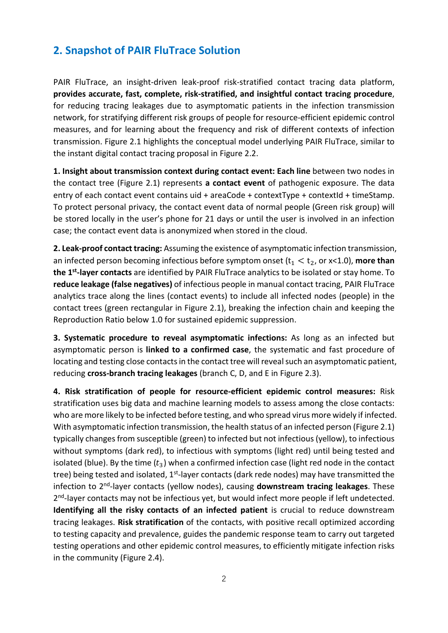### <span id="page-4-0"></span>**2. Snapshot of PAIR FluTrace Solution**

PAIR FluTrace, an insight-driven leak-proof risk-stratified contact tracing data platform, **provides accurate, fast, complete, risk-stratified, and insightful contact tracing procedure**, for reducing tracing leakages due to asymptomatic patients in the infection transmission network, for stratifying different risk groups of people for resource-efficient epidemic control measures, and for learning about the frequency and risk of different contexts of infection transmission. Figure 2.1 highlights the conceptual model underlying PAIR FluTrace, similar to the instant digital contact tracing proposal in Figure 2.2.

**1. Insight about transmission context during contact event: Each line** between two nodes in the contact tree (Figure 2.1) represents **a contact event** of pathogenic exposure. The data entry of each contact event contains uid + areaCode + contextType + contextId + timeStamp. To protect personal privacy, the contact event data of normal people (Green risk group) will be stored locally in the user's phone for 21 days or until the user is involved in an infection case; the contact event data is anonymized when stored in the cloud.

**2. Leak-proof contact tracing:** Assuming the existence of asymptomatic infection transmission, an infected person becoming infectious before symptom onset  $(t_1 < t_2, 0r \times 1.0)$ , more than **the 1st-layer contacts** are identified by PAIR FluTrace analytics to be isolated or stay home. To **reduce leakage (false negatives)** of infectious people in manual contact tracing, PAIR FluTrace analytics trace along the lines (contact events) to include all infected nodes (people) in the contact trees (green rectangular in Figure 2.1), breaking the infection chain and keeping the Reproduction Ratio below 1.0 for sustained epidemic suppression.

**3. Systematic procedure to reveal asymptomatic infections:** As long as an infected but asymptomatic person is **linked to a confirmed case**, the systematic and fast procedure of locating and testing close contacts in the contact tree will reveal such an asymptomatic patient, reducing **cross-branch tracing leakages** (branch C, D, and E in Figure 2.3).

**4. Risk stratification of people for resource-efficient epidemic control measures:** Risk stratification uses big data and machine learning models to assess among the close contacts: who are more likely to be infected before testing, and who spread virus more widely if infected. With asymptomatic infection transmission, the health status of an infected person (Figure 2.1) typically changes from susceptible (green) to infected but not infectious (yellow), to infectious without symptoms (dark red), to infectious with symptoms (light red) until being tested and isolated (blue). By the time  $(t_3)$  when a confirmed infection case (light red node in the contact tree) being tested and isolated, 1<sup>st</sup>-layer contacts (dark rede nodes) may have transmitted the infection to 2nd-layer contacts (yellow nodes), causing **downstream tracing leakages**. These 2<sup>nd</sup>-layer contacts may not be infectious yet, but would infect more people if left undetected. **Identifying all the risky contacts of an infected patient** is crucial to reduce downstream tracing leakages. **Risk stratification** of the contacts, with positive recall optimized according to testing capacity and prevalence, guides the pandemic response team to carry out targeted testing operations and other epidemic control measures, to efficiently mitigate infection risks in the community (Figure 2.4).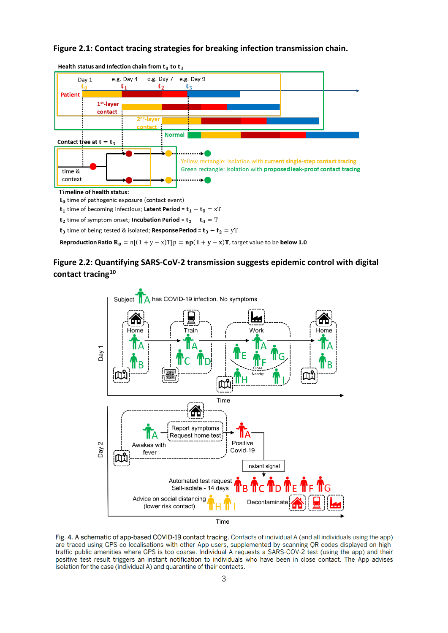#### **Figure 2.1: Contact tracing strategies for breaking infection transmission chain.**



Health status and Infection chain from  $t_0$  to  $t_3$ 

 $t_2$  time of symptom onset; **Incubation Period** =  $t_2 - t_0 = T$ 

 $\mathbf{t}_3$  time of being tested & isolated; Response Period =  $\mathbf{t}_3 - \mathbf{t}_2 = \mathrm{yT}$ 

**Reproduction Ratio R**<sub>0</sub> =  $n[(1 + y - x)T]p = np(1 + y - x)T$ , target value to be **below 1.0** 

#### **Figure 2.2: Quantifying SARS-CoV-2 transmission suggests epidemic control with digital contact tracing[10](#page-14-9)**



Fig. 4. A schematic of app-based COVID-19 contact tracing. Contacts of individual A (and all individuals using the app) are traced using GPS co-localisations with other App users, supplemented by scanning QR-codes displayed on high-<br>traffic public amenities where GPS is too coarse. Individual A requests a SARS-COV-2 test (using the app) and positive test result triggers an instant notification to individuals who have been in close contact. The App advises isolation for the case (individual A) and quarantine of their contacts.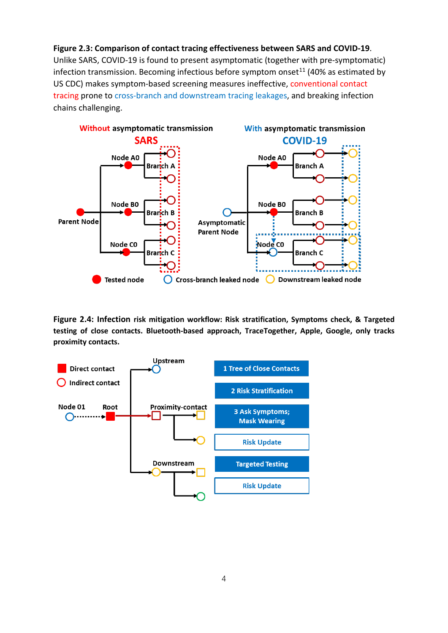**Figure 2.3: Comparison of contact tracing effectiveness between SARS and COVID-19**. Unlike SARS, COVID-19 is found to present asymptomatic (together with pre-symptomatic) infection transmission. Becoming infectious before symptom onset<sup>[11](#page-14-10)</sup> (40% as estimated by US CDC) makes symptom-based screening measures ineffective, conventional contact tracing prone to cross-branch and downstream tracing leakages, and breaking infection chains challenging.



**Figure 2.4: Infection risk mitigation workflow: Risk stratification, Symptoms check, & Targeted testing of close contacts. Bluetooth-based approach, TraceTogether, Apple, Google, only tracks proximity contacts.**

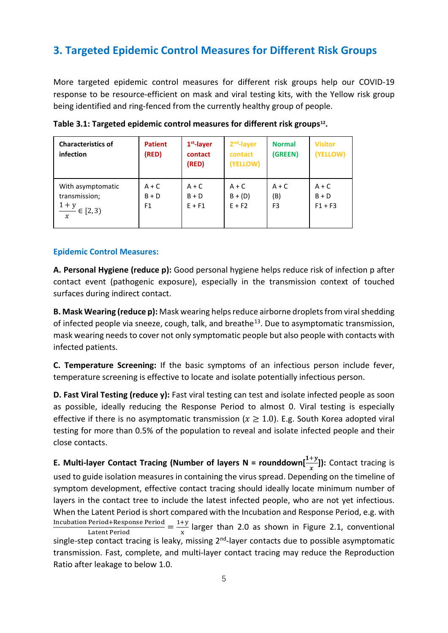## <span id="page-7-0"></span>**3. Targeted Epidemic Control Measures for Different Risk Groups**

More targeted epidemic control measures for different risk groups help our COVID-19 response to be resource-efficient on mask and viral testing kits, with the Yellow risk group being identified and ring-fenced from the currently healthy group of people.

| <b>Characteristics of</b><br>infection                                          | <b>Patient</b><br>(RED)              | $1st$ -layer<br>contact<br>(RED) | 2 <sup>nd</sup> -layer<br>contact<br>(YELLOW) | <b>Normal</b><br>(GREEN)         | <b>Visitor</b><br>(YELLOW)      |
|---------------------------------------------------------------------------------|--------------------------------------|----------------------------------|-----------------------------------------------|----------------------------------|---------------------------------|
| With asymptomatic<br>transmission;<br>$1 + y$<br>$\in$ [2, 3)<br>$\overline{x}$ | $A + C$<br>$B + D$<br>F <sub>1</sub> | $A + C$<br>$B + D$<br>$E + F1$   | $A + C$<br>$B + (D)$<br>$E + F2$              | $A + C$<br>(B)<br>F <sub>3</sub> | $A + C$<br>$B + D$<br>$F1 + F3$ |

**Table 3.1: Targeted epidemic control measures for different risk groups[12](#page-14-11).**

#### **Epidemic Control Measures:**

**A. Personal Hygiene (reduce p):** Good personal hygiene helps reduce risk of infection p after contact event (pathogenic exposure), especially in the transmission context of touched surfaces during indirect contact.

**B. Mask Wearing (reduce p):** Mask wearing helps reduce airborne droplets from viral shedding of infected people via sneeze, cough, talk, and breathe<sup>[13](#page-14-12)</sup>. Due to asymptomatic transmission, mask wearing needs to cover not only symptomatic people but also people with contacts with infected patients.

**C. Temperature Screening:** If the basic symptoms of an infectious person include fever, temperature screening is effective to locate and isolate potentially infectious person.

**D. Fast Viral Testing (reduce y):** Fast viral testing can test and isolate infected people as soon as possible, ideally reducing the Response Period to almost 0. Viral testing is especially effective if there is no asymptomatic transmission ( $x \ge 1.0$ ). E.g. South Korea adopted viral testing for more than 0.5% of the population to reveal and isolate infected people and their close contacts.

**E. Multi-layer Contact Tracing (Number of layers**  $N =$  **rounddown** $\left[\frac{1+y}{x}\right]$ **): Contact tracing is** used to guide isolation measures in containing the virus spread. Depending on the timeline of symptom development, effective contact tracing should ideally locate minimum number of layers in the contact tree to include the latest infected people, who are not yet infectious. When the Latent Period is short compared with the Incubation and Response Period, e.g. with  $\frac{\text{Incubation Period+Response Period}}{\text{Latent Period}} = \frac{1+y}{x}$  larger than 2.0 as shown in Figure 2.1, conventional single-step contact tracing is leaky, missing  $2^{nd}$ -layer contacts due to possible asymptomatic transmission. Fast, complete, and multi-layer contact tracing may reduce the Reproduction Ratio after leakage to below 1.0.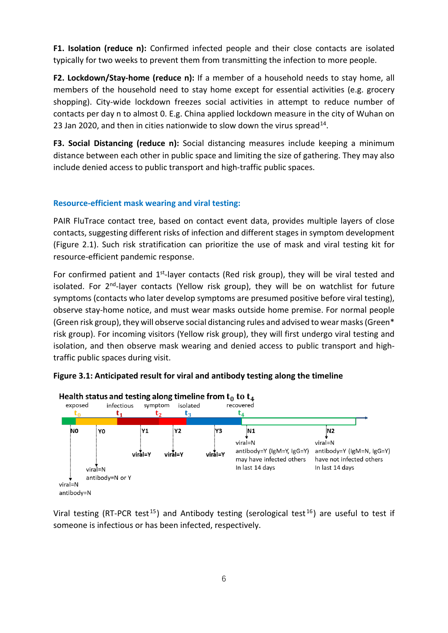**F1. Isolation (reduce n):** Confirmed infected people and their close contacts are isolated typically for two weeks to prevent them from transmitting the infection to more people.

**F2. Lockdown/Stay-home (reduce n):** If a member of a household needs to stay home, all members of the household need to stay home except for essential activities (e.g. grocery shopping). City-wide lockdown freezes social activities in attempt to reduce number of contacts per day n to almost 0. E.g. China applied lockdown measure in the city of Wuhan on 23 Jan 2020, and then in cities nationwide to slow down the virus spread<sup>14</sup>.

**F3. Social Distancing (reduce n):** Social distancing measures include keeping a minimum distance between each other in public space and limiting the size of gathering. They may also include denied access to public transport and high-traffic public spaces.

#### **Resource-efficient mask wearing and viral testing:**

PAIR FluTrace contact tree, based on contact event data, provides multiple layers of close contacts, suggesting different risks of infection and different stages in symptom development (Figure 2.1). Such risk stratification can prioritize the use of mask and viral testing kit for resource-efficient pandemic response.

For confirmed patient and  $1<sup>st</sup>$ -layer contacts (Red risk group), they will be viral tested and isolated. For  $2^{nd}$ -layer contacts (Yellow risk group), they will be on watchlist for future symptoms (contacts who later develop symptoms are presumed positive before viral testing), observe stay-home notice, and must wear masks outside home premise. For normal people (Green risk group), they will observe social distancing rules and advised to wear masks(Green\* risk group). For incoming visitors (Yellow risk group), they will first undergo viral testing and isolation, and then observe mask wearing and denied access to public transport and hightraffic public spaces during visit.





Viral testing (RT-PCR test<sup>[15](#page-14-14)</sup>) and Antibody testing (serological test<sup>[16](#page-14-15)</sup>) are useful to test if someone is infectious or has been infected, respectively.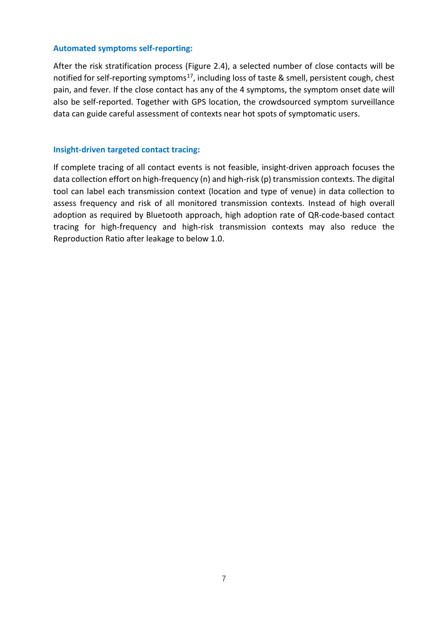#### **Automated symptoms self-reporting:**

After the risk stratification process (Figure 2.4), a selected number of close contacts will be notified for self-reporting symptoms<sup>17</sup>, including loss of taste & smell, persistent cough, chest pain, and fever. If the close contact has any of the 4 symptoms, the symptom onset date will also be self-reported. Together with GPS location, the crowdsourced symptom surveillance data can guide careful assessment of contexts near hot spots of symptomatic users.

#### **Insight-driven targeted contact tracing:**

If complete tracing of all contact events is not feasible, insight-driven approach focuses the data collection effort on high-frequency (n) and high-risk (p) transmission contexts. The digital tool can label each transmission context (location and type of venue) in data collection to assess frequency and risk of all monitored transmission contexts. Instead of high overall adoption as required by Bluetooth approach, high adoption rate of QR-code-based contact tracing for high-frequency and high-risk transmission contexts may also reduce the Reproduction Ratio after leakage to below 1.0.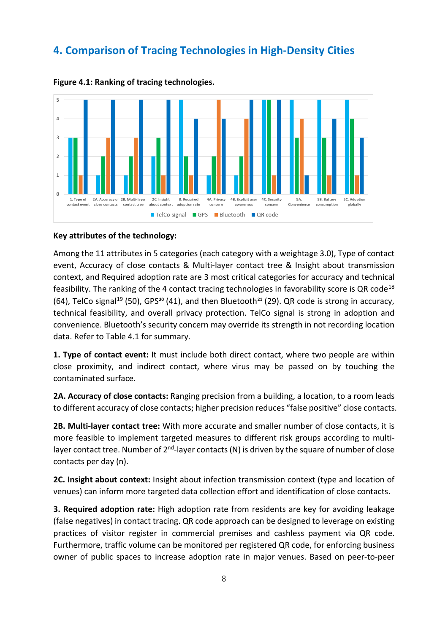### <span id="page-10-0"></span>**4. Comparison of Tracing Technologies in High-Density Cities**



**Figure 4.1: Ranking of tracing technologies.** 

#### **Key attributes of the technology:**

Among the 11 attributes in 5 categories (each category with a weightage 3.0), Type of contact event, Accuracy of close contacts & Multi-layer contact tree & Insight about transmission context, and Required adoption rate are 3 most critical categories for accuracy and technical feasibility. The ranking of the 4 contact tracing technologies in favorability score is QR code<sup>[18](#page-14-17)</sup> (64), TelCo signal[19](#page-14-18) (50), GPS**[20](#page-14-19)** (41), and then Bluetooth**[21](#page-14-20)** (29). QR code is strong in accuracy, technical feasibility, and overall privacy protection. TelCo signal is strong in adoption and convenience. Bluetooth's security concern may override its strength in not recording location data. Refer to Table 4.1 for summary.

**1. Type of contact event:** It must include both direct contact, where two people are within close proximity, and indirect contact, where virus may be passed on by touching the contaminated surface.

**2A. Accuracy of close contacts:** Ranging precision from a building, a location, to a room leads to different accuracy of close contacts; higher precision reduces "false positive" close contacts.

**2B. Multi-layer contact tree:** With more accurate and smaller number of close contacts, it is more feasible to implement targeted measures to different risk groups according to multilayer contact tree. Number of  $2<sup>nd</sup>$ -layer contacts (N) is driven by the square of number of close contacts per day (n).

**2C. Insight about context:** Insight about infection transmission context (type and location of venues) can inform more targeted data collection effort and identification of close contacts.

**3. Required adoption rate:** High adoption rate from residents are key for avoiding leakage (false negatives) in contact tracing. QR code approach can be designed to leverage on existing practices of visitor register in commercial premises and cashless payment via QR code. Furthermore, traffic volume can be monitored per registered QR code, for enforcing business owner of public spaces to increase adoption rate in major venues. Based on peer-to-peer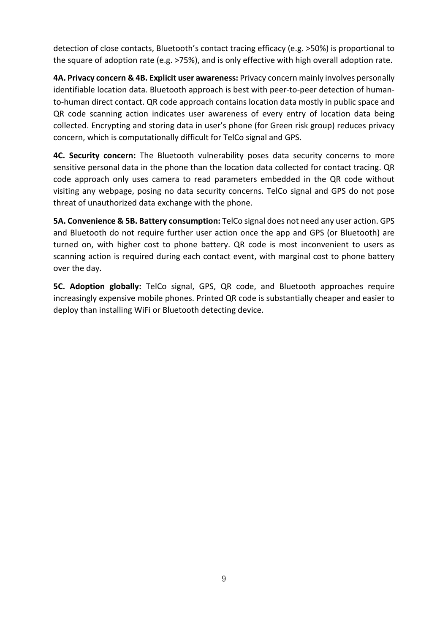detection of close contacts, Bluetooth's contact tracing efficacy (e.g. >50%) is proportional to the square of adoption rate (e.g. >75%), and is only effective with high overall adoption rate.

**4A. Privacy concern & 4B. Explicit user awareness:** Privacy concern mainly involves personally identifiable location data. Bluetooth approach is best with peer-to-peer detection of humanto-human direct contact. QR code approach contains location data mostly in public space and QR code scanning action indicates user awareness of every entry of location data being collected. Encrypting and storing data in user's phone (for Green risk group) reduces privacy concern, which is computationally difficult for TelCo signal and GPS.

**4C. Security concern:** The Bluetooth vulnerability poses data security concerns to more sensitive personal data in the phone than the location data collected for contact tracing. QR code approach only uses camera to read parameters embedded in the QR code without visiting any webpage, posing no data security concerns. TelCo signal and GPS do not pose threat of unauthorized data exchange with the phone.

**5A. Convenience & 5B. Battery consumption:** TelCo signal does not need any user action. GPS and Bluetooth do not require further user action once the app and GPS (or Bluetooth) are turned on, with higher cost to phone battery. QR code is most inconvenient to users as scanning action is required during each contact event, with marginal cost to phone battery over the day.

**5C. Adoption globally:** TelCo signal, GPS, QR code, and Bluetooth approaches require increasingly expensive mobile phones. Printed QR code is substantially cheaper and easier to deploy than installing WiFi or Bluetooth detecting device.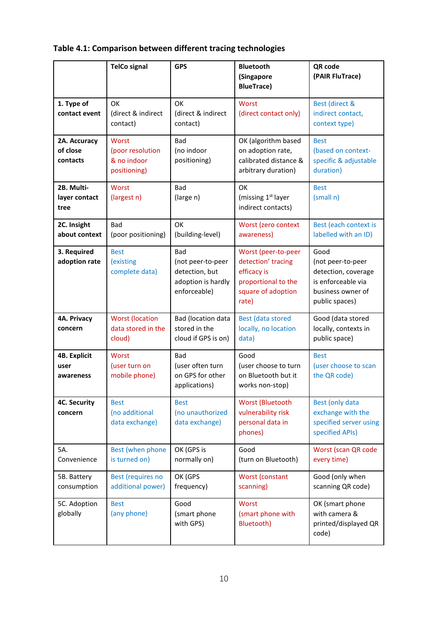| Table 4.1: Comparison between different tracing technologies |  |  |
|--------------------------------------------------------------|--|--|
|--------------------------------------------------------------|--|--|

|                                          | <b>TelCo signal</b>                                             | <b>GPS</b>                                                                              | <b>Bluetooth</b><br>(Singapore<br><b>BlueTrace)</b>                                                            | QR code<br>(PAIR FluTrace)                                                                                    |
|------------------------------------------|-----------------------------------------------------------------|-----------------------------------------------------------------------------------------|----------------------------------------------------------------------------------------------------------------|---------------------------------------------------------------------------------------------------------------|
| 1. Type of<br>contact event              | OK<br>(direct & indirect<br>contact)                            | OK<br>(direct & indirect<br>contact)                                                    | Worst<br>(direct contact only)                                                                                 | Best (direct &<br>indirect contact,<br>context type)                                                          |
| 2A. Accuracy<br>of close<br>contacts     | <b>Worst</b><br>(poor resolution<br>& no indoor<br>positioning) | Bad<br>(no indoor<br>positioning)                                                       | OK (algorithm based<br>on adoption rate,<br>calibrated distance &<br>arbitrary duration)                       | <b>Best</b><br>(based on context-<br>specific & adjustable<br>duration)                                       |
| 2B. Multi-<br>layer contact<br>tree      | Worst<br>(largest n)                                            | Bad<br>(large n)                                                                        | OK<br>(missing 1 <sup>st-</sup> layer<br>indirect contacts)                                                    | <b>Best</b><br>(small n)                                                                                      |
| 2C. Insight<br>about context             | Bad<br>(poor positioning)                                       | OK<br>(building-level)                                                                  | Worst (zero context<br>awareness)                                                                              | Best (each context is<br>labelled with an ID)                                                                 |
| 3. Required<br>adoption rate             | <b>Best</b><br>(existing)<br>complete data)                     | <b>Bad</b><br>(not peer-to-peer<br>detection, but<br>adoption is hardly<br>enforceable) | Worst (peer-to-peer<br>detection' tracing<br>efficacy is<br>proportional to the<br>square of adoption<br>rate) | Good<br>(not peer-to-peer<br>detection, coverage<br>is enforceable via<br>business owner of<br>public spaces) |
| 4A. Privacy<br>concern                   | <b>Worst (location</b><br>data stored in the<br>cloud)          | Bad (location data<br>stored in the<br>cloud if GPS is on)                              | <b>Best (data stored</b><br>locally, no location<br>data)                                                      | Good (data stored<br>locally, contexts in<br>public space)                                                    |
| <b>4B. Explicit</b><br>user<br>awareness | <b>Worst</b><br>(user turn on<br>mobile phone)                  | Bad<br>(user often turn<br>on GPS for other<br>applications)                            | Good<br>(user choose to turn<br>on Bluetooth but it<br>works non-stop)                                         | <b>Best</b><br>(user choose to scan<br>the QR code)                                                           |
| <b>4C. Security</b><br>concern           | <b>Best</b><br>(no additional<br>data exchange)                 | <b>Best</b><br>(no unauthorized<br>data exchange)                                       | Worst (Bluetooth<br>vulnerability risk<br>personal data in<br>phones)                                          | Best (only data<br>exchange with the<br>specified server using<br>specified APIs)                             |
| 5A.<br>Convenience                       | Best (when phone<br>is turned on)                               | OK (GPS is<br>normally on)                                                              | Good<br>(turn on Bluetooth)                                                                                    | Worst (scan QR code<br>every time)                                                                            |
| 5B. Battery<br>consumption               | Best (requires no<br>additional power)                          | OK (GPS<br>frequency)                                                                   | Worst (constant<br>scanning)                                                                                   | Good (only when<br>scanning QR code)                                                                          |
| 5C. Adoption<br>globally                 | <b>Best</b><br>(any phone)                                      | Good<br>(smart phone<br>with GPS)                                                       | Worst<br>(smart phone with<br>Bluetooth)                                                                       | OK (smart phone<br>with camera &<br>printed/displayed QR<br>code)                                             |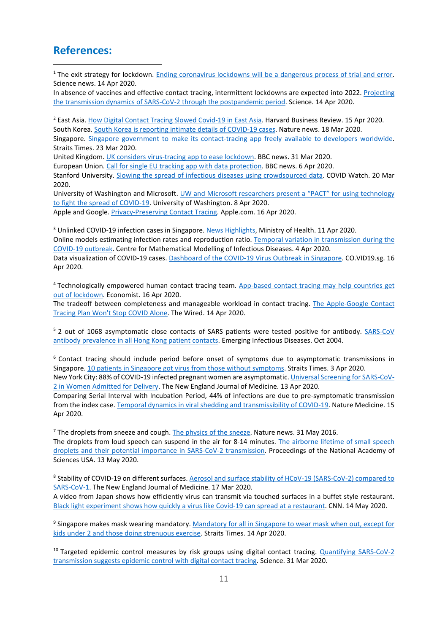### <span id="page-13-0"></span>**References:**

<sup>1</sup> The exit strategy for lockdown. [Ending coronavirus lockdowns will be a dangerous process of trial and error.](https://www.sciencemag.org/news/2020/04/ending-coronavirus-lockdowns-will-be-dangerous-process-trial-and-error) Science news. 14 Apr 2020.

In absence of vaccines and effective contact tracing, intermittent lockdowns are expected into 2022. [Projecting](https://science.sciencemag.org/content/early/2020/04/24/science.abb5793)  [the transmission dynamics of SARS-CoV-2 through the postpandemic period.](https://science.sciencemag.org/content/early/2020/04/24/science.abb5793) Science. 14 Apr 2020.

<sup>2</sup> East Asia[. How Digital Contact Tracing Slowed Covid-19 in East Asia.](https://hbr.org/2020/04/how-digital-contact-tracing-slowed-covid-19-in-east-asia) Harvard Business Review. 15 Apr 2020. South Korea[. South Korea is reporting intimate details of COVID-19 cases.](https://www.nature.com/articles/d41586-020-00740-y) Nature news. 18 Mar 2020.

Singapore. [Singapore government to make its contact-tracing app freely available to developers worldwide.](https://www.straitstimes.com/singapore/coronavirus-spore-government-to-make-its-contact-tracing-app-freely-available-to) Straits Times. 23 Mar 2020.

United Kingdom[. UK considers virus-tracing app to ease lockdown.](https://www.bbc.com/news/technology-52095331) BBC news. 31 Mar 2020.

European Union[. Call for single EU tracking app with data protection.](https://www.bbc.com/news/technology-52189551) BBC news. 6 Apr 2020.

Stanford University. [Slowing the spread of infectious diseases using crowdsourced data.](https://www.covid-watch.org/article) COVID Watch. 20 Mar 2020.

University of Washington and Microsoft. [UW and Microsoft researchers present a "PACT" for using technology](https://news.cs.washington.edu/2020/04/08/privacy-and-the-pandemic-uw-researchers-present-a-pact-for-using-technology-to-fight-the-spread-of-covid-19/)  [to fight the spread of COVID-19.](https://news.cs.washington.edu/2020/04/08/privacy-and-the-pandemic-uw-researchers-present-a-pact-for-using-technology-to-fight-the-spread-of-covid-19/) University of Washington. 8 Apr 2020.

Apple and Google. [Privacy-Preserving Contact Tracing.](https://www.apple.com/covid19/contacttracing) Apple.com. 16 Apr 2020.

<sup>3</sup> Unlinked COVID-19 infection cases in Singapore[. News Highlights,](https://www.moh.gov.sg/news-highlights/details/35-more-cases-discharged-191-new-cases-of-covid-19-infection-confirmed) Ministry of Health. 11 Apr 2020. Online models estimating infection rates and reproduction ratio[. Temporal variation in transmission during the](https://cmmid.github.io/topics/covid19/current-patterns-transmission/global-time-varying-transmission.html)  [COVID-19 outbreak.](https://cmmid.github.io/topics/covid19/current-patterns-transmission/global-time-varying-transmission.html) Centre for Mathematical Modelling of Infectious Diseases. 4 Apr 2020.

Data visualization of COVID-19 cases[. Dashboard of the COVID-19 Virus Outbreak in Singapore.](https://co.vid19.sg/singapore) CO.VID19.sg. 16 Apr 2020.

<sup>4</sup> Technologically empowered human contact tracing team. [App-based contact tracing may help countries get](https://www.economist.com/science-and-technology/2020/04/16/app-based-contact-tracing-may-help-countries-get-out-of-lockdown)  [out of lockdown.](https://www.economist.com/science-and-technology/2020/04/16/app-based-contact-tracing-may-help-countries-get-out-of-lockdown) Economist. 16 Apr 2020.

The tradeoff between completeness and manageable workload in contact tracing. [The Apple-Google Contact](https://www.wired.com/story/apple-google-contact-tracing-wont-stop-covid-alone/)  [Tracing Plan Won't Stop COVID Alone.](https://www.wired.com/story/apple-google-contact-tracing-wont-stop-covid-alone/) The Wired. 14 Apr 2020.

<sup>5</sup> 2 out of 1068 asymptomatic close contacts of SARS patients were tested positive for antibody. [SARS-CoV](https://www.ncbi.nlm.nih.gov/pubmed/15498170)  [antibody prevalence in all Hong Kong patient contacts.](https://www.ncbi.nlm.nih.gov/pubmed/15498170) Emerging Infectious Diseases. Oct 2004.

<sup>6</sup> Contact tracing should include period before onset of symptoms due to asymptomatic transmissions in Singapore[. 10 patients in Singapore got virus from those without symptoms.](https://www.straitstimes.com/singapore/health/10-patients-in-spore-got-virus-from-those-without-symptoms-study) Straits Times. 3 Apr 2020.

New York City: 88% of COVID-19 infected pregnant women are asymptomatic[. Universal Screening for SARS-CoV-](https://www.nejm.org/doi/full/10.1056/NEJMc2009316)[2 in Women Admitted for](https://www.nejm.org/doi/full/10.1056/NEJMc2009316) Delivery. The New England Journal of Medicine. 13 Apr 2020.

Comparing Serial Interval with Incubation Period, 44% of infections are due to pre-symptomatic transmission from the index case[. Temporal dynamics in viral shedding and transmissibility of COVID-19.](https://www.nature.com/articles/s41591-020-0869-5) Nature Medicine. 15 Apr 2020.

 $<sup>7</sup>$  The droplets from sneeze and cough[. The physics of the sneeze.](https://www.nature.com/articles/d41586-019-00065-5) Nature news. 31 May 2016.</sup>

The droplets from loud speech can suspend in the air for 8-14 minutes. [The airborne lifetime of small speech](https://www.pnas.org/content/early/2020/05/12/2006874117)  [droplets and their potential importance in SARS-CoV-2 transmission.](https://www.pnas.org/content/early/2020/05/12/2006874117) Proceedings of the National Academy of Sciences USA. 13 May 2020.

<sup>8</sup> Stability of COVID-19 on different surfaces. Aerosol and surface stability of HCoV-19 (SARS-CoV-2) compared to [SARS-CoV-1.](https://www.nejm.org/doi/full/10.1056/NEJMc2004973) The New England Journal of Medicine. 17 Mar 2020.

A video from Japan shows how efficiently virus can transmit via touched surfaces in a buffet style restaurant. [Black light experiment shows how quickly a virus like Covid-19 can spread at a restaurant.](https://edition.cnn.com/2020/05/13/health/japan-black-light-experiment-coronavirus-trnd-wellness/index.html) CNN. 14 May 2020.

<sup>9</sup> Singapore makes mask wearing mandatory. Mandatory for all in Singapore to wear mask when out, except for [kids under 2 and those doing strenuous exercise.](https://www.straitstimes.com/singapore/coronavirus-mandatory-for-all-to-wear-a-mask-when-out-with-exceptions-for-kids-under-2-and) Straits Times. 14 Apr 2020.

<sup>10</sup> Targeted epidemic control measures by risk groups using digital contact tracing. Quantifying SARS-CoV-2 [transmission suggests epidemic control with digital contact tracing.](https://science.sciencemag.org/content/early/2020/04/09/science.abb6936) Science. 31 Mar 2020.